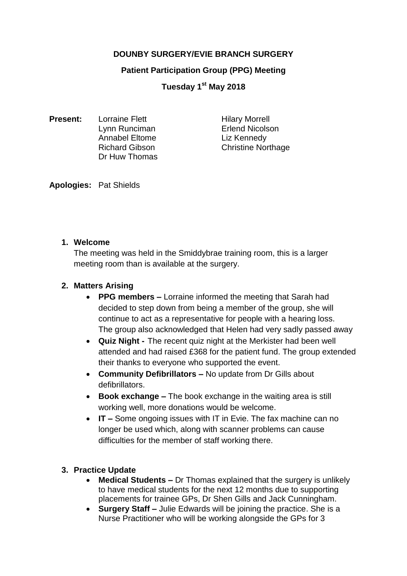## **DOUNBY SURGERY/EVIE BRANCH SURGERY**

#### **Patient Participation Group (PPG) Meeting**

**Tuesday 1 st May 2018**

**Present:** Lorraine Flett Hilary Morrell Lynn Runciman Erlend Nicolson Annabel Eltome Liz Kennedy Dr Huw Thomas

Richard Gibson Christine Northage

**Apologies:** Pat Shields

#### **1. Welcome**

The meeting was held in the Smiddybrae training room, this is a larger meeting room than is available at the surgery.

## **2. Matters Arising**

- **PPG members –** Lorraine informed the meeting that Sarah had decided to step down from being a member of the group, she will continue to act as a representative for people with a hearing loss. The group also acknowledged that Helen had very sadly passed away
- **Quiz Night -** The recent quiz night at the Merkister had been well attended and had raised £368 for the patient fund. The group extended their thanks to everyone who supported the event.
- **Community Defibrillators –** No update from Dr Gills about defibrillators.
- **Book exchange –** The book exchange in the waiting area is still working well, more donations would be welcome.
- **IT –** Some ongoing issues with IT in Evie. The fax machine can no longer be used which, along with scanner problems can cause difficulties for the member of staff working there.

### **3. Practice Update**

- **Medical Students –** Dr Thomas explained that the surgery is unlikely to have medical students for the next 12 months due to supporting placements for trainee GPs, Dr Shen Gills and Jack Cunningham.
- **Surgery Staff –** Julie Edwards will be joining the practice. She is a Nurse Practitioner who will be working alongside the GPs for 3